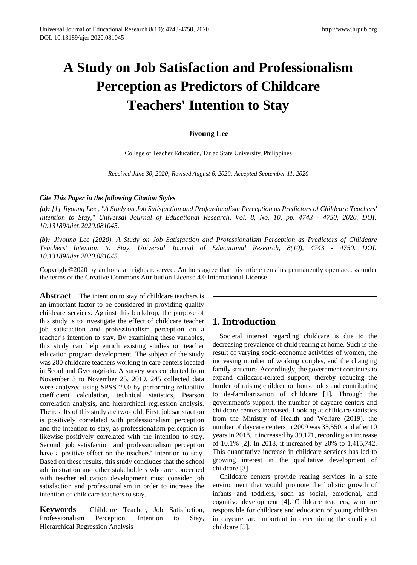# **A Study on Job Satisfaction and Professionalism Perception as Predictors of Childcare Teachers' Intention to Stay**

# **Jiyoung Lee**

College of Teacher Education, Tarlac State University, Philippines

*Received June 30, 2020; Revised August 6, 2020; Accepted September 11, 2020*

## *Cite This Paper in the following Citation Styles*

*(a): [1] Jiyoung Lee , "A Study on Job Satisfaction and Professionalism Perception as Predictors of Childcare Teachers' Intention to Stay," Universal Journal of Educational Research, Vol. 8, No. 10, pp. 4743 - 4750, 2020. DOI: 10.13189/ujer.2020.081045.* 

*(b): Jiyoung Lee (2020). A Study on Job Satisfaction and Professionalism Perception as Predictors of Childcare Teachers' Intention to Stay. Universal Journal of Educational Research, 8(10), 4743 - 4750. DOI: 10.13189/ujer.2020.081045.* 

Copyright©2020 by authors, all rights reserved. Authors agree that this article remains permanently open access under the terms of the Creative Commons Attribution License 4.0 International License

**Abstract** The intention to stay of childcare teachers is an important factor to be considered in providing quality childcare services. Against this backdrop, the purpose of this study is to investigate the effect of childcare teacher job satisfaction and professionalism perception on a teacher's intention to stay. By examining these variables, this study can help enrich existing studies on teacher education program development. The subject of the study was 280 childcare teachers working in care centers located in Seoul and Gyeonggi-do. A survey was conducted from November 3 to November 25, 2019. 245 collected data were analyzed using SPSS 23.0 by performing reliability coefficient calculation, technical statistics, Pearson correlation analysis, and hierarchical regression analysis. The results of this study are two-fold. First, job satisfaction is positively correlated with professionalism perception and the intention to stay, as professionalism perception is likewise positively correlated with the intention to stay. Second, job satisfaction and professionalism perception have a positive effect on the teachers' intention to stay. Based on these results, this study concludes that the school administration and other stakeholders who are concerned with teacher education development must consider job satisfaction and professionalism in order to increase the intention of childcare teachers to stay.

**Keywords** Childcare Teacher, Job Satisfaction, Professionalism Perception, Intention to Stay, Hierarchical Regression Analysis

# **1. Introduction**

Societal interest regarding childcare is due to the decreasing prevalence of child rearing at home. Such is the result of varying socio-economic activities of women, the increasing number of working couples, and the changing family structure. Accordingly, the government continues to expand childcare-related support, thereby reducing the burden of raising children on households and contributing to de-familiarization of childcare [1]. Through the government's support, the number of daycare centers and childcare centers increased. Looking at childcare statistics from the Ministry of Health and Welfare (2019), the number of daycare centers in 2009 was 35,550, and after 10 years in 2018, it increased by 39,171, recording an increase of 10.1% [2]. In 2018, it increased by 20% to 1,415,742. This quantitative increase in childcare services has led to growing interest in the qualitative development of childcare [3].

Childcare centers provide rearing services in a safe environment that would promote the holistic growth of infants and toddlers, such as social, emotional, and cognitive development [4]. Childcare teachers, who are responsible for childcare and education of young children in daycare, are important in determining the quality of childcare [5].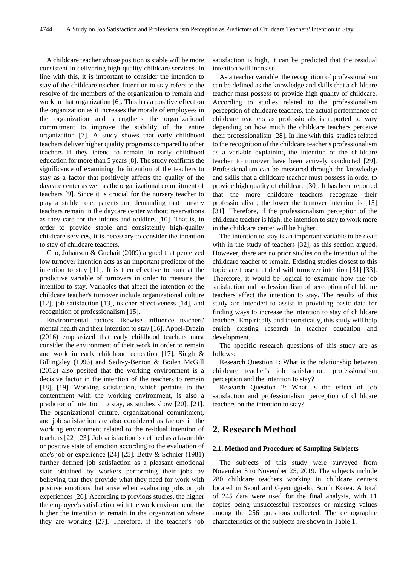A childcare teacher whose position is stable will be more consistent in delivering high-quality childcare services. In line with this, it is important to consider the intention to stay of the childcare teacher. Intention to stay refers to the resolve of the members of the organization to remain and work in that organization [6]. This has a positive effect on the organization as it increases the morale of employees in the organization and strengthens the organizational commitment to improve the stability of the entire organization [7]. A study shows that early childhood teachers deliver higher quality programs compared to other teachers if they intend to remain in early childhood education for more than 5 years [8]. The study reaffirms the significance of examining the intention of the teachers to stay as a factor that positively affects the quality of the daycare center as well as the organizational commitment of teachers [9]. Since it is crucial for the nursery teacher to play a stable role, parents are demanding that nursery teachers remain in the daycare center without reservations as they care for the infants and toddlers [10]. That is, in order to provide stable and consistently high-quality childcare services, it is necessary to consider the intention to stay of childcare teachers.

Cho, Johanson & Guchait (2009) argued that perceived low turnover intention acts as an important predictor of the intention to stay [11]. It is then effective to look at the predictive variable of turnovers in order to measure the intention to stay. Variables that affect the intention of the childcare teacher's turnover include organizational culture [12], job satisfaction [13], teacher effectiveness [14], and recognition of professionalism [15].

Environmental factors likewise influence teachers' mental health and their intention to stay [16]. Appel-Drazin (2016) emphasized that early childhood teachers must consider the environment of their work in order to remain and work in early childhood education [17]. Singh & Billingsley (1996) and Sedivy-Benton & Boden McGill (2012) also posited that the working environment is a decisive factor in the intention of the teachers to remain [18], [19]. Working satisfaction, which pertains to the contentment with the working environment, is also a predictor of intention to stay, as studies show [20], [21]. The organizational culture, organizational commitment, and job satisfaction are also considered as factors in the working environment related to the residual intention of teachers [22] [23]. Job satisfaction is defined as a favorable or positive state of emotion according to the evaluation of one's job or experience [24] [25]. Betty & Schnier (1981) further defined job satisfaction as a pleasant emotional state obtained by workers performing their jobs by believing that they provide what they need for work with positive emotions that arise when evaluating jobs or job experiences [26]. According to previous studies, the higher the employee's satisfaction with the work environment, the higher the intention to remain in the organization where they are working [27]. Therefore, if the teacher's job

satisfaction is high, it can be predicted that the residual intention will increase.

As a teacher variable, the recognition of professionalism can be defined as the knowledge and skills that a childcare teacher must possess to provide high quality of childcare. According to studies related to the professionalism perception of childcare teachers, the actual performance of childcare teachers as professionals is reported to vary depending on how much the childcare teachers perceive their professionalism [28]. In line with this, studies related to the recognition of the childcare teacher's professionalism as a variable explaining the intention of the childcare teacher to turnover have been actively conducted [29]. Professionalism can be measured through the knowledge and skills that a childcare teacher must possess in order to provide high quality of childcare [30]. It has been reported that the more childcare teachers recognize their professionalism, the lower the turnover intention is [15] [31]. Therefore, if the professionalism perception of the childcare teacher is high, the intention to stay to work more in the childcare center will be higher.

The intention to stay is an important variable to be dealt with in the study of teachers [32], as this section argued. However, there are no prior studies on the intention of the childcare teacher to remain. Existing studies closest to this topic are those that deal with turnover intention [31] [33]. Therefore, it would be logical to examine how the job satisfaction and professionalism of perception of childcare teachers affect the intention to stay. The results of this study are intended to assist in providing basic data for finding ways to increase the intention to stay of childcare teachers. Empirically and theoretically, this study will help enrich existing research in teacher education and development.

The specific research questions of this study are as follows:

Research Question 1: What is the relationship between childcare teacher's job satisfaction, professionalism perception and the intention to stay?

Research Question 2: What is the effect of job satisfaction and professionalism perception of childcare teachers on the intention to stay?

# **2. Research Method**

#### **2.1. Method and Procedure of Sampling Subjects**

The subjects of this study were surveyed from November 3 to November 25, 2019. The subjects include 280 childcare teachers working in childcare centers located in Seoul and Gyeonggi-do, South Korea. A total of 245 data were used for the final analysis, with 11 copies being unsuccessful responses or missing values among the 256 questions collected. The demographic characteristics of the subjects are shown in Table 1.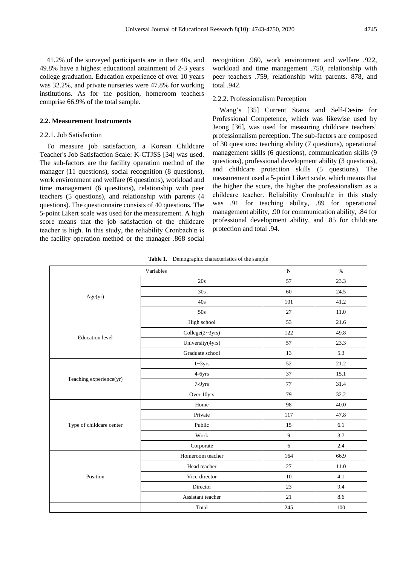41.2% of the surveyed participants are in their 40s, and 49.8% have a highest educational attainment of 2-3 years college graduation. Education experience of over 10 years was 32.2%, and private nurseries were 47.8% for working institutions. As for the position, homeroom teachers comprise 66.9% of the total sample.

#### **2.2. Measurement Instruments**

#### 2.2.1. Job Satisfaction

To measure job satisfaction, a Korean Childcare Teacher's Job Satisfaction Scale: K-CTJSS [34] was used. The sub-factors are the facility operation method of the manager (11 questions), social recognition (8 questions), work environment and welfare (6 questions), workload and time management (6 questions), relationship with peer teachers (5 questions), and relationship with parents (4 questions). The questionnaire consists of 40 questions. The 5-point Likert scale was used for the measurement. A high score means that the job satisfaction of the childcare teacher is high. In this study, the reliability Cronbach' $\alpha$  is the facility operation method or the manager .868 social

recognition .960, work environment and welfare .922, workload and time management .750, relationship with peer teachers .759, relationship with parents. 878, and total .942.

#### 2.2.2. Professionalism Perception

Wang's [35] Current Status and Self-Desire for Professional Competence, which was likewise used by Jeong [36], was used for measuring childcare teachers' professionalism perception. The sub-factors are composed of 30 questions: teaching ability (7 questions), operational management skills (6 questions), communication skills (9 questions), professional development ability (3 questions), and childcare protection skills (5 questions). The measurement used a 5-point Likert scale, which means that the higher the score, the higher the professionalism as a childcare teacher. Reliability Cronbach'α in this study was .91 for teaching ability, .89 for operational management ability, .90 for communication ability, .84 for professional development ability, and .85 for childcare protection and total .94.

|                          | ${\bf N}$         | $\%$           |      |
|--------------------------|-------------------|----------------|------|
|                          | 20s               | 57             | 23.3 |
|                          | 30s               | 60             | 24.5 |
| Age(yr)                  | 40s               | 101            | 41.2 |
|                          | 50s               | 27             | 11.0 |
|                          | High school       | 53             | 21.6 |
| <b>Education</b> level   | College(2~3yrs)   | 122            | 49.8 |
|                          | University(4yrs)  | 57             | 23.3 |
|                          | Graduate school   | 13             | 5.3  |
|                          | $1 - 3yrs$        | 52             | 21.2 |
|                          | 4-6yrs            | 37             | 15.1 |
| Teaching experience(yr)  | 7-9yrs            | 77             | 31.4 |
|                          | Over 10yrs        | 79             | 32.2 |
|                          | Home              | 98             | 40.0 |
|                          | Private           | 117            | 47.8 |
| Type of childcare center | Public            | 15             | 6.1  |
|                          | Work              | $\overline{9}$ | 3.7  |
|                          | Corporate         | 6              | 2.4  |
|                          | Homeroom teacher  | 164            | 66.9 |
|                          | Head teacher      | 27             | 11.0 |
| Position                 | Vice-director     | 10             | 4.1  |
|                          | Director          | 23             | 9.4  |
|                          | Assistant teacher | 21             | 8.6  |
|                          | Total             | 245            | 100  |

**Table 1.** Demographic characteristics of the sample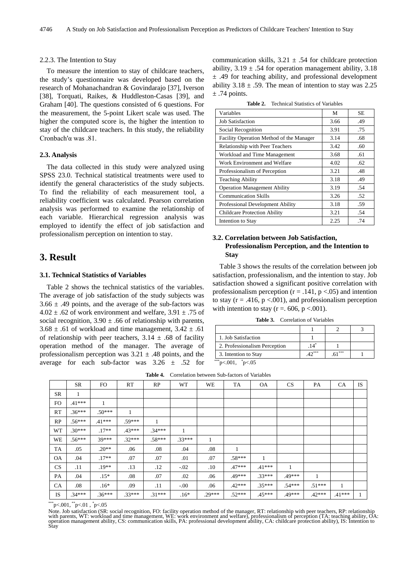#### 2.2.3. The Intention to Stay

To measure the intention to stay of childcare teachers, the study's questionnaire was developed based on the research of Mohanachandran & Govindarajo [37], Iverson [38], Torquati, Raikes, & Huddleston-Casas [39], and Graham [40]. The questions consisted of 6 questions. For the measurement, the 5-point Likert scale was used. The higher the computed score is, the higher the intention to stay of the childcare teachers. In this study, the reliability Cronbach'α was .81.

#### **2.3. Analysis**

The data collected in this study were analyzed using SPSS 23.0. Technical statistical treatments were used to identify the general characteristics of the study subjects. To find the reliability of each measurement tool, a reliability coefficient was calculated. Pearson correlation analysis was performed to examine the relationship of each variable. Hierarchical regression analysis was employed to identify the effect of job satisfaction and professionalism perception on intention to stay.

# **3. Result**

#### **3.1. Technical Statistics of Variables**

Table 2 shows the technical statistics of the variables. The average of job satisfaction of the study subjects was  $3.66 \pm .49$  points, and the average of the sub-factors was  $4.02 \pm .62$  of work environment and welfare,  $3.91 \pm .75$  of social recognition,  $3.90 \pm .66$  of relationship with parents,  $3.68 \pm .61$  of workload and time management,  $3.42 \pm .61$ of relationship with peer teachers,  $3.14 \pm .68$  of facility operation method of the manager. The average of professionalism perception was  $3.21 \pm .48$  points, and the average for each sub-factor was  $3.26 \pm .52$  for

communication skills,  $3.21 \pm .54$  for childcare protection ability,  $3.19 \pm .54$  for operation management ability,  $3.18$  $\pm$  .49 for teaching ability, and professional development ability  $3.18 \pm .59$ . The mean of intention to stay was 2.25  $\pm$  .74 points.

**Table 2.** Technical Statistics of Variables

| Variables                                | М    | <b>SE</b> |
|------------------------------------------|------|-----------|
| <b>Job Satisfaction</b>                  | 3.66 | .49       |
| Social Recognition                       | 3.91 | .75       |
| Facility Operation Method of the Manager | 3.14 | .68       |
| Relationship with Peer Teachers          | 3.42 | .60       |
| Workload and Time Management             | 3.68 | .61       |
| Work Environment and Welfare             | 4.02 | .62       |
| Professionalism of Perception            | 3.21 | .48       |
| <b>Teaching Ability</b>                  | 3.18 | .49       |
| <b>Operation Management Ability</b>      | 3.19 | .54       |
| <b>Communication Skills</b>              | 3.26 | .52       |
| Professional Development Ability         | 3.18 | .59       |
| <b>Childcare Protection Ability</b>      | 3.21 | .54       |
| Intention to Stay                        | 2.25 | .74       |

# **3.2. Correlation between Job Satisfaction, Professionalism Perception, and the Intention to Stay**

Table 3 shows the results of the correlation between job satisfaction, professionalism, and the intention to stay. Job satisfaction showed a significant positive correlation with professionalism perception ( $r = .141$ ,  $p < .05$ ) and intention to stay ( $r = .416$ ,  $p < .001$ ), and professionalism perception with intention to stay ( $r = 606$ ,  $p < 001$ ).

**Table 3.** Correlation of Variables

| 1. Job Satisfaction           |         |     |  |
|-------------------------------|---------|-----|--|
| 2. Professionalism Perception | 14      |     |  |
| 3. Intention to Stay          | $10***$ | *** |  |
| ***p<.001, $p<.05$            |         |     |  |

|           | <b>SR</b> | FO.      | RT       | RP           | <b>WT</b> | <b>WE</b> | TA       | <b>OA</b> | CS       | <b>PA</b>      | CA       | <b>IS</b>    |
|-----------|-----------|----------|----------|--------------|-----------|-----------|----------|-----------|----------|----------------|----------|--------------|
| <b>SR</b> | 1         |          |          |              |           |           |          |           |          |                |          |              |
| FO.       | $.41***$  |          |          |              |           |           |          |           |          |                |          |              |
| RT        | $.36***$  | $.50***$ | 1        |              |           |           |          |           |          |                |          |              |
| RP        | $.56***$  | $.41***$ | $.59***$ | $\mathbf{1}$ |           |           |          |           |          |                |          |              |
| WT        | $.30***$  | $.17**$  | $.43***$ | $.34***$     | 1         |           |          |           |          |                |          |              |
| WE        | $.56***$  | 39***    | $.32***$ | $.58***$     | $.33***$  | 1         |          |           |          |                |          |              |
| TA        | .05       | $.20**$  | .06      | .08          | .04       | .08       | 1        |           |          |                |          |              |
| <b>OA</b> | .04       | $.17**$  | .07      | .07          | .01       | .07       | $.58***$ | 1         |          |                |          |              |
| CS        | .11       | $.19**$  | .13      | .12          | $-.02$    | $.10\,$   | $.47***$ | $.41***$  | 1        |                |          |              |
| PA        | .04       | $.15*$   | .08      | .07          | .02       | .06       | $.49***$ | $.33***$  | .49***   | $\overline{1}$ |          |              |
| CA        | .08       | $.16*$   | .09      | .11          | $-.00$    | .06       | $.42***$ | $.35***$  | $.54***$ | $.51***$       | 1        |              |
| IS        | $.34***$  | $.36***$ | $.33***$ | $.31***$     | $.16*$    | $.29***$  | $.52***$ | $.45***$  | .49***   | $.42***$       | $.41***$ | $\mathbf{1}$ |

**Table 4.** Correlation between Sub-factors of Variables

 $\rm ^{***}p<.001, \rm ^{**}p<.01$  ,  $\rm ^*p<.05$ 

Note. Job satisfaction (SR: social recognition, FO: facility operation method of the manager, RT: relationship with peer teachers, RP: relationship<br>with parents, WT: workload and time management, WE: work environment and w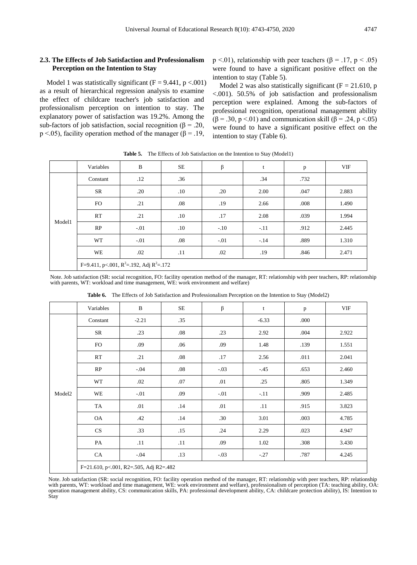### **2.3. The Effects of Job Satisfaction and Professionalism Perception on the Intention to Stay**

Model 1 was statistically significant ( $F = 9.441$ ,  $p < .001$ ) as a result of hierarchical regression analysis to examine the effect of childcare teacher's job satisfaction and professionalism perception on intention to stay. The explanatory power of satisfaction was 19.2%. Among the sub-factors of job satisfaction, social recognition ( $\beta$  = .20, p <.05), facility operation method of the manager ( $\beta$  = .19,

 $p \le 01$ ), relationship with peer teachers ( $\beta = .17$ ,  $p \le .05$ ) were found to have a significant positive effect on the intention to stay (Table 5).

Model 2 was also statistically significant ( $F = 21.610$ , p <.001). 50.5% of job satisfaction and professionalism perception were explained. Among the sub-factors of professional recognition, operational management ability ( $\beta$  = .30, p <.01) and communication skill ( $\beta$  = .24, p <.05) were found to have a significant positive effect on the intention to stay (Table 6).

|        | Variables                                         | $\, {\bf B}$ | SE      | β      | t      | $\mathbf{p}$ | <b>VIF</b> |  |
|--------|---------------------------------------------------|--------------|---------|--------|--------|--------------|------------|--|
|        | Constant                                          | .12          | .36     |        | .34    | .732         |            |  |
|        | SR                                                | .20          | $.10\,$ | .20    | 2.00   | .047         | 2.883      |  |
|        | FO.                                               | .21          | .08     | .19    | 2.66   | .008         | 1.490      |  |
| Model1 | RT                                                | .21          | .10     | .17    | 2.08   | .039         | 1.994      |  |
|        | RP                                                | $-.01$       | .10     | $-.10$ | $-.11$ | .912         | 2.445      |  |
|        | WT                                                | $-.01$       | .08     | $-.01$ | $-.14$ | .889         | 1.310      |  |
|        | WE                                                | .02          | .11     | .02    | .19    | .846         | 2.471      |  |
|        | F=9.411, p <. 001, $R^2$ =. 192, Adj $R^2$ =. 172 |              |         |        |        |              |            |  |

Table 5. The Effects of Job Satisfaction on the Intention to Stay (Model1)

Note. Job satisfaction (SR: social recognition, FO: facility operation method of the manager, RT: relationship with peer teachers, RP: relationship with parents, WT: workload and time management, WE: work environment and welfare)

|                    | Variables | $\, {\bf B}$                           | $SE$ | $\boldsymbol{\beta}$ | $\mathbf t$ | p    | VIF   |
|--------------------|-----------|----------------------------------------|------|----------------------|-------------|------|-------|
|                    | Constant  | $-2.21$                                | .35  |                      | $-6.33$     | .000 |       |
|                    | SR        | .23                                    | .08  | .23                  | 2.92        | .004 | 2.922 |
|                    | <b>FO</b> | .09                                    | .06  | .09                  | 1.48        | .139 | 1.551 |
|                    | RT        | .21                                    | .08  | .17                  | 2.56        | .011 | 2.041 |
|                    | RP        | $-.04$                                 | .08  | $-.03$               | $-45$       | .653 | 2.460 |
|                    | WT        | .02                                    | .07  | .01                  | .25         | .805 | 1.349 |
| Model <sub>2</sub> | WE        | $-.01$                                 | .09  | $-.01$               | $-11$       | .909 | 2.485 |
|                    | TA        | .01                                    | .14  | .01                  | .11         | .915 | 3.823 |
|                    | OA        | .42                                    | .14  | .30                  | 3.01        | .003 | 4.785 |
|                    | CS        | .33                                    | .15  | .24                  | 2.29        | .023 | 4.947 |
|                    | PA        | .11                                    | .11  | .09                  | 1.02        | .308 | 3.430 |
|                    | CA        | $-.04$                                 | .13  | $-.03$               | $-.27$      | .787 | 4.245 |
|                    |           | F=21.610, p<.001, R2=.505, Adj R2=.482 |      |                      |             |      |       |

**Table 6.** The Effects of Job Satisfaction and Professionalism Perception on the Intention to Stay (Model2)

Note. Job satisfaction (SR: social recognition, FO: facility operation method of the manager, RT: relationship with peer teachers, RP: relationship with parents, WT: workload and time management, WE: work environment and welfare), professionalism of perception (TA: teaching ability, OA: operation management ability, CS: communication skills, PA: professional development ability, CA: childcare protection ability), IS: Intention to Stay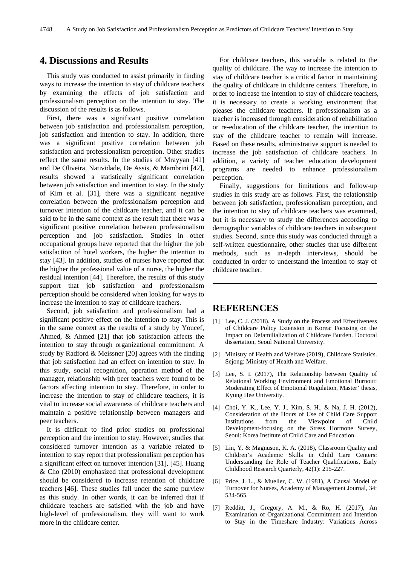# **4. Discussions and Results**

This study was conducted to assist primarily in finding ways to increase the intention to stay of childcare teachers by examining the effects of job satisfaction and professionalism perception on the intention to stay. The discussion of the results is as follows.

First, there was a significant positive correlation between job satisfaction and professionalism perception, job satisfaction and intention to stay. In addition, there was a significant positive correlation between job satisfaction and professionalism perception. Other studies reflect the same results. In the studies of Mrayyan [41] and De Oliveira, Natividade, De Assis, & Mambrini [42], results showed a statistically significant correlation between job satisfaction and intention to stay. In the study of Kim et al. [31], there was a significant negative correlation between the professionalism perception and turnover intention of the childcare teacher, and it can be said to be in the same context as the result that there was a significant positive correlation between professionalism perception and job satisfaction. Studies in other occupational groups have reported that the higher the job satisfaction of hotel workers, the higher the intention to stay [43]. In addition, studies of nurses have reported that the higher the professional value of a nurse, the higher the residual intention [44]. Therefore, the results of this study support that job satisfaction and professionalism perception should be considered when looking for ways to increase the intention to stay of childcare teachers.

Second, job satisfaction and professionalism had a significant positive effect on the intention to stay. This is in the same context as the results of a study by Youcef, Ahmed, & Ahmed [21] that job satisfaction affects the intention to stay through organizational commitment. A study by Radford & Meissner [20] agrees with the finding that job satisfaction had an effect on intention to stay. In this study, social recognition, operation method of the manager, relationship with peer teachers were found to be factors affecting intention to stay. Therefore, in order to increase the intention to stay of childcare teachers, it is vital to increase social awareness of childcare teachers and maintain a positive relationship between managers and peer teachers.

It is difficult to find prior studies on professional perception and the intention to stay. However, studies that considered turnover intention as a variable related to intention to stay report that professionalism perception has a significant effect on turnover intention [31], [45]. Huang & Cho (2010) emphasized that professional development should be considered to increase retention of childcare teachers [46]. These studies fall under the same purview as this study. In other words, it can be inferred that if childcare teachers are satisfied with the job and have high-level of professionalism, they will want to work more in the childcare center.

For childcare teachers, this variable is related to the quality of childcare. The way to increase the intention to stay of childcare teacher is a critical factor in maintaining the quality of childcare in childcare centers. Therefore, in order to increase the intention to stay of childcare teachers, it is necessary to create a working environment that pleases the childcare teachers. If professionalism as a teacher is increased through consideration of rehabilitation or re-education of the childcare teacher, the intention to stay of the childcare teacher to remain will increase. Based on these results, administrative support is needed to increase the job satisfaction of childcare teachers. In addition, a variety of teacher education development programs are needed to enhance professionalism perception.

Finally, suggestions for limitations and follow-up studies in this study are as follows. First, the relationship between job satisfaction, professionalism perception, and the intention to stay of childcare teachers was examined, but it is necessary to study the differences according to demographic variables of childcare teachers in subsequent studies. Second, since this study was conducted through a self-written questionnaire, other studies that use different methods, such as in-depth interviews, should be conducted in order to understand the intention to stay of childcare teacher.

# **REFERENCES**

- [1] Lee, C. J. (2018). A Study on the Process and Effectiveness of Childcare Policy Extension in Korea: Focusing on the Impact on Defamilialization of Childcare Burden. Doctoral dissertation, Seoul National University.
- [2] Ministry of Health and Welfare (2019), Childcare Statistics. Sejong: Ministry of Health and Welfare.
- [3] Lee, S. I. (2017), The Relationship between Quality of Relational Working Environment and Emotional Burnout: Moderating Effect of Emotional Regulation, Master' thesis, Kyung Hee University.
- [4] Choi, Y. K., Lee, Y. J., Kim, S. H., & Na, J. H. (2012), Consideration of the Hours of Use of Child Care Support Institutions from the Viewpoint of Child Development-focusing on the Stress Hormone Survey, Seoul: Korea Institute of Child Care and Education.
- [5] Lin, Y. & Magnuson, K. A. (2018), Classroom Quality and Children's Academic Skills in Child Care Centers: Understanding the Role of Teacher Qualifications, Early Childhood Research Quarterly, 42(1): 215-227.
- [6] Price, J. L., & Mueller, C. W. (1981), A Causal Model of Turnover for Nurses, Academy of Management Journal, 34: 534-565.
- [7] Redditt, J., Gregory, A. M., & Ro, H. (2017), An Examination of Organizational Commitment and Intention to Stay in the Timeshare Industry: Variations Across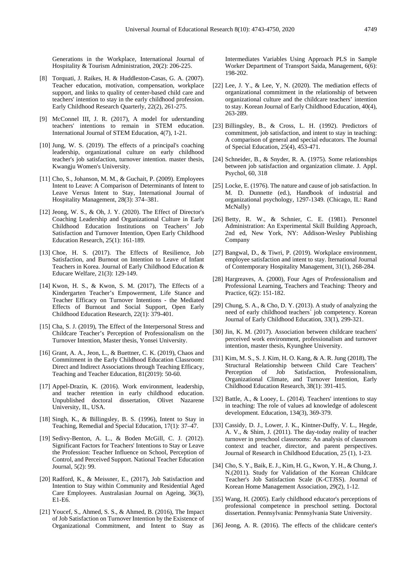Generations in the Workplace, International Journal of Hospitality & Tourism Administration, 20(2): 206-225.

- [8] Torquati, J. Raikes, H. & Huddleston-Casas, G. A. (2007). Teacher education, motivation, compensation, workplace support, and links to quality of center-based child care and teachers' intention to stay in the early childhood profession. Early Childhood Research Quarterly, 22(2), 261-275.
- [9] McConnel III, J. R. (2017), A model for uderstanding teachers' intentions to remain in STEM education. International Journal of STEM Education, 4(7), 1-21.
- [10] Jung, W. S. (2019). The effects of a principal's coaching leadership, organizational culture on early childhood teacher's job satisfaction, turnover intention. master thesis, Kwangju Women's University.
- [11] Cho, S., Johanson, M. M., & Guchait, P. (2009). Employees Intent to Leave: A Comparison of Determinants of Intent to Leave Versus Intent to Stay, International Journal of Hospitality Management, 28(3): 374–381.
- [12] Jeong, W. S., & Oh, J. Y. (2020). The Effect of Director's Coaching Leadership and Organizational Culture in Early Childhood Education Institutions on Teachers' Job Satisfaction and Turnover Intention, Open Early Childhood Education Research, 25(1): 161-189.
- [13] Choe, H. S. (2017). The Effects of Resilience, Job Satisfaction, and Burnout on Intention to Leave of Infant Teachers in Korea. Journal of Early Childhood Education & Educare Welfare, 21(3): 129-149.
- [14] Kwon, H. S., & Kwon, S. M. (2017), The Effects of a Kindergarten Teacher's Empowerment, Life Stance and Teacher Efficacy on Turnover Intentions - the Mediated Effects of Burnout and Social Support, Open Early Childhood Education Research, 22(1): 379-401.
- [15] Cha, S. J. (2019), The Effect of the Interpersonal Stress and Childcare Teacher's Perception of Professionalism on the Turnover Intention, Master thesis, Yonsei University.
- [16] Grant, A. A., Jeon, L., & Buettner, C. K. (2019), Chaos and Commitment in the Early Childhood Education Classroom: Direct and Indirect Associations through Teaching Efficacy, Teaching and Teacher Education, 81(2019): 50-60.
- [17] Appel-Drazin, K. (2016). Work environment, leadership, and teacher retention in early childhood education. Unpublished doctoral dissertation, Olivet Nazarene University, IL, USA.
- [18] Singh, K., & Billingsley, B. S. (1996), Intent to Stay in Teaching, Remedial and Special Education, 17(1): 37–47.
- [19] Sedivy-Benton, A. L., & Boden McGill, C. J. (2012). Significant Factors for Teachers' Intentions to Stay or Leave the Profession: Teacher Influence on School, Perception of Control, and Perceived Support. National Teacher Education Journal, 5(2): 99.
- [20] Radford, K., & Meissner, E., (2017), Job Satisfaction and Intention to Stay within Community and Residential Aged Care Employees. Australasian Journal on Ageing, 36(3), E1-E6.
- [21] Youcef, S., Ahmed, S. S., & Ahmed, B. (2016), The Impact of Job Satisfaction on Turnover Intention by the Existence of Organizational Commitment, and Intent to Stay as

Intermediates Variables Using Approach PLS in Sample Worker Department of Transport Saida, Management, 6(6): 198-202.

- [22] Lee, J. Y., & Lee, Y. N.  $(2020)$ . The mediation effects of organizational commitment in the relationship of between organizational culture and the childcare teachers' intention to stay. Korean Journal of Early Childhood Education, 40(4), 263-289.
- [23] Billingsley, B., & Cross, L. H. (1992). Predictors of commitment, job satisfaction, and intent to stay in teaching: A comparison of general and special educators. The Journal of Special Education, 25(4), 453-471.
- [24] Schneider, B., & Snyder, R. A. (1975). Some relationships between job satisfaction and organization climate. J. Appl. Psychol, 60, 318
- [25] Locke, E. (1976). The nature and cause of job satisfaction. In M. D. Dunnette (ed.), Handbook of industrial and organizational psychology, 1297-1349. (Chicago, IL: Rand McNally)
- [26] Betty, R. W., & Schnier, C. E. (1981). Personnel Administration: An Experimental Skill Building Approach, 2nd ed, New York, NY: Addison-Wesley Publishing Company
- [27] Bangwal, D., & Tiwri, P. (2019). Workplace environment, employee satisfaction and intent to stay. Iternational Journal of Contemporary Hospitality Management, 31(1), 268-284.
- [28] Hargreaves, A. (2000), Four Ages of Professionalism and Professional Learning, Teachers and Teaching: Theory and Practice, 6(2): 151-182.
- [29] Chung, S. A., & Cho, D. Y. (2013). A study of analyzing the need of early childhood teachers` job competency. Korean Journal of Early Childhood Education, 33(1), 299-321.
- [30] Jin, K. M. (2017). Association between childcare teachers' perceived work environment, professionalism and turnover intention, master thesis, Kyunghee University.
- [31] Kim, M. S., S. J. Kim, H. O. Kang, & A. R. Jung (2018), The Structural Relationship between Child Care Teachers' Perception of Job Satisfaction, Professionalism, Organizational Climate, and Turnover Intention, Early Childhood Education Research, 38(1): 391-415.
- [32] Battle, A., & Looey, L. (2014). Teachers' intentions to stay in teaching: The role of values ad knowledge of adolescent development. Education, 134(3), 369-379.
- [33] Cassidy, D. J., Lower, J. K., Kintner-Duffy, V. L., Hegde, A. V., & Shim, J. (2011). The day-today reality of teacher turnover in preschool classrooms: An analysis of classroom context and teacher, director, and parent perspectives. Journal of Research in Childhood Education, 25 (1), 1-23.
- [34] Cho, S. Y., Baik, E. J., Kim, H. G., Kwon, Y. H., & Chung, J. N.(2011). Study for Validation of the Korean Childcare Teacher's Job Satisfaction Scale (K-CTJSS). Journal of Korean Home Management Association, 29(2), 1-12.
- [35] Wang, H. (2005). Early childhood educator's perceptions of professional competence in preschool setting. Doctoral dissertation. Pennsylvania: Pennsylvania State University.
- [36] Jeong, A. R. (2016). The effects of the chlidcare center's